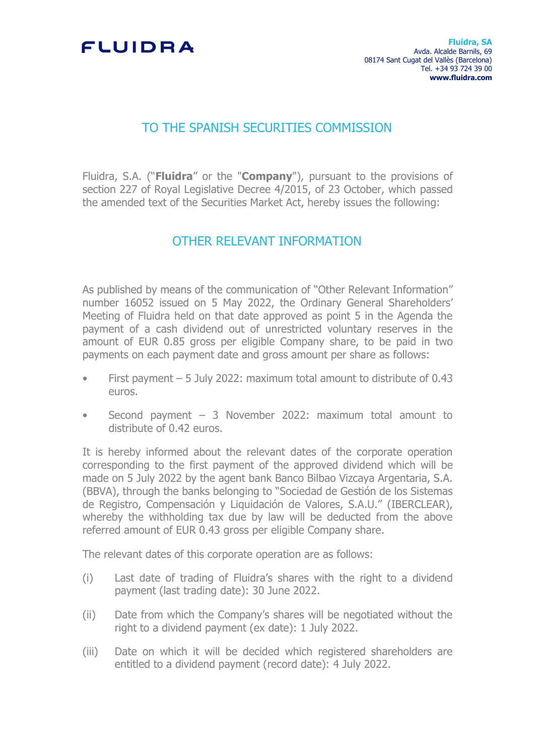## FLUIDRA

## TO THE SPANISH SECURITIES COMMISSION

Fluidra, S.A. ("**Fluidra**" or the "**Company**"), pursuant to the provisions of section 227 of Royal Legislative Decree 4/2015, of 23 October, which passed the amended text of the Securities Market Act, hereby issues the following:

## OTHER RELEVANT INFORMATION

As published by means of the communication of "Other Relevant Information" number 16052 issued on 5 May 2022, the Ordinary General Shareholders' Meeting of Fluidra held on that date approved as point 5 in the Agenda the payment of a cash dividend out of unrestricted voluntary reserves in the amount of EUR 0.85 gross per eligible Company share, to be paid in two payments on each payment date and gross amount per share as follows:

- First payment  $-5$  July 2022: maximum total amount to distribute of 0.43 euros.
- Second payment  $-$  3 November 2022: maximum total amount to distribute of 0.42 euros.

It is hereby informed about the relevant dates of the corporate operation corresponding to the first payment of the approved dividend which will be made on 5 July 2022 by the agent bank Banco Bilbao Vizcaya Argentaria, S.A. (BBVA), through the banks belonging to "Sociedad de Gestión de los Sistemas de Registro, Compensación y Liquidación de Valores, S.A.U." (IBERCLEAR), whereby the withholding tax due by law will be deducted from the above referred amount of EUR 0.43 gross per eligible Company share.

The relevant dates of this corporate operation are as follows:

- (i) Last date of trading of Fluidra's shares with the right to a dividend payment (last trading date): 30 June 2022.
- (ii) Date from which the Company's shares will be negotiated without the right to a dividend payment (ex date): 1 July 2022.
- (iii) Date on which it will be decided which registered shareholders are entitled to a dividend payment (record date): 4 July 2022.